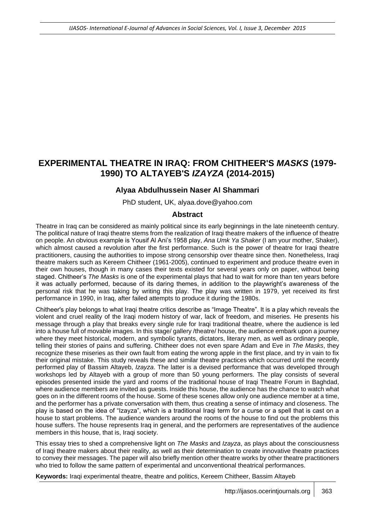# **EXPERIMENTAL THEATRE IN IRAQ: FROM CHITHEER'S** *MASKS* **(1979- 1990) TO ALTAYEB'S** *IZAYZA* **(2014-2015)**

#### **Alyaa Abdulhussein Naser Al Shammari**

PhD student, UK, alyaa.dove@yahoo.com

#### **Abstract**

Theatre in Iraq can be considered as mainly political since its early beginnings in the late nineteenth century. The political nature of Iraqi theatre stems from the realization of Iraqi theatre makers of the influence of theatre on people. An obvious example is Yousif Al Ani's 1958 play, *Ana Umk Ya Shaker* (I am your mother, Shaker), which almost caused a revolution after the first performance. Such is the power of theatre for Iraqi theatre practitioners, causing the authorities to impose strong censorship over theatre since then. Nonetheless, Iraqi theatre makers such as Kereem Chitheer (1961-2005), continued to experiment and produce theatre even in their own houses, though in many cases their texts existed for several years only on paper, without being staged. Chitheer's *The Masks* is one of the experimental plays that had to wait for more than ten years before it was actually performed, because of its daring themes, in addition to the playwright's awareness of the personal risk that he was taking by writing this play. The play was written in 1979, yet received its first performance in 1990, in Iraq, after failed attempts to produce it during the 1980s.

Chitheer's play belongs to what Iraqi theatre critics describe as "Image Theatre". It is a play which reveals the violent and cruel reality of the Iraqi modern history of war, lack of freedom, and miseries. He presents his message through a play that breaks every single rule for Iraqi traditional theatre, where the audience is led into a house full of movable images. In this stage/ gallery /theatre/ house, the audience embark upon a journey where they meet historical, modern, and symbolic tyrants, dictators, literary men, as well as ordinary people, telling their stories of pains and suffering. Chitheer does not even spare Adam and Eve in *The Masks*, they recognize these miseries as their own fault from eating the wrong apple in the first place, and try in vain to fix their original mistake. This study reveals these and similar theatre practices which occurred until the recently performed play of Bassim Altayeb, *Izayza*. The latter is a devised performance that was developed through workshops led by Altayeb with a group of more than 50 young performers. The play consists of several episodes presented inside the yard and rooms of the traditional house of Iraqi Theatre Forum in Baghdad, where audience members are invited as guests. Inside this house, the audience has the chance to watch what goes on in the different rooms of the house. Some of these scenes allow only one audience member at a time, and the performer has a private conversation with them, thus creating a sense of intimacy and closeness. The play is based on the idea of "Izayza", which is a traditional Iraqi term for a curse or a spell that is cast on a house to start problems. The audience wanders around the rooms of the house to find out the problems this house suffers. The house represents Iraq in general, and the performers are representatives of the audience members in this house, that is, Iraqi society.

This essay tries to shed a comprehensive light on *The Masks* and *Izayza*, as plays about the consciousness of Iraqi theatre makers about their reality, as well as their determination to create innovative theatre practices to convey their messages. The paper will also briefly mention other theatre works by other theatre practitioners who tried to follow the same pattern of experimental and unconventional theatrical performances.

**Keywords:** Iraqi experimental theatre, theatre and politics, Kereem Chitheer, Bassim Altayeb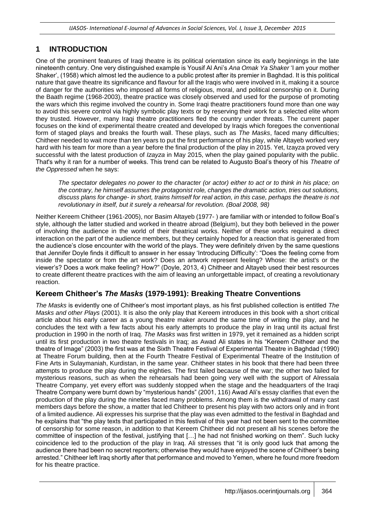## **1 INTRODUCTION**

One of the prominent features of Iraqi theatre is its political orientation since its early beginnings in the late nineteenth century. One very distinguished example is Yousif Al Ani's *Ana Omak Ya Shaker* 'I am your mother Shaker', (1958) which almost led the audience to a public protest after its premier in Baghdad. It is this political nature that gave theatre its significance and flavour for all the Iraqis who were involved in it, making it a source of danger for the authorities who imposed all forms of religious, moral, and political censorship on it. During the Baath regime (1968-2003), theatre practice was closely observed and used for the purpose of promoting the wars which this regime involved the country in. Some Iraqi theatre practitioners found more than one way to avoid this severe control via highly symbolic play texts or by reserving their work for a selected elite whom they trusted. However, many Iraqi theatre practitioners fled the country under threats. The current paper focuses on the kind of experimental theatre created and developed by Iraqis which foregoes the conventional form of staged plays and breaks the fourth wall. These plays, such as *The Masks*, faced many difficulties; Chitheer needed to wait more than ten years to put the first performance of his play, while Altayeb worked very hard with his team for more than a year before the final production of the play in 2015. Yet, Izayza proved very successful with the latest production of *Izayza* in May 2015, when the play gained popularity with the public. That's why it ran for a number of weeks. This trend can be related to Augusto Boal's theory of his *Theatre of the Oppressed* when he says:

*The spectator delegates no power to the character (or actor) either to act or to think in his place; on the contrary, he himself assumes the protagonist role, changes the dramatic action, tries out solutions, discuss plans for change- in short, trains himself for real action, in this case, perhaps the theatre is not revolutionary in itself, but it surely a rehearsal for revolution. (Boal 2008, 98)*

Neither Kereem Chitheer (1961-2005), nor Basim Altayeb (1977- ) are familiar with or intended to follow Boal's style, although the latter studied and worked in theatre abroad (Belgium), but they both believed in the power of involving the audience in the world of their theatrical works. Neither of these works required a direct interaction on the part of the audience members, but they certainly hoped for a reaction that is generated from the audience's close encounter with the world of the plays. They were definitely driven by the same questions that Jennifer Doyle finds it difficult to answer in her essay 'Introducing Difficulty': "Does the feeling come from inside the spectator or from the art work? Does an artwork represent feeling? Whose: the artist's or the viewer's? Does a work make feeling? How?" (Doyle, 2013, 4) Chitheer and Altayeb used their best resources to create different theatre practices with the aim of leaving an unforgettable impact, of creating a revolutionary reaction.

### **Kereem Chitheer's** *The Masks* **(1979-1991): Breaking Theatre Conventions**

*The Masks* is evidently one of Chitheer's most important plays, as his first published collection is entitled *The Masks and other Plays* (2001). It is also the only play that Kereem introduces in this book with a short critical article about his early career as a young theatre maker around the same time of writing the play, and he concludes the text with a few facts about his early attempts to produce the play in Iraq until its actual first production in 1990 in the north of Iraq. *The Masks* was first written in 1979, yet it remained as a hidden script until its first production in two theatre festivals in Iraq; as Awad Ali states in his "Kereem Chitheer and the theatre of Image" (2003) the first was at the Sixth Theatre Festival of Experimental Theatre in Baghdad (1990) at Theatre Forum building, then at the Fourth Theatre Festival of Experimental Theatre of the Institution of Fine Arts in Sulaymaniah, Kurdistan, in the same year. Chitheer states in his book that there had been three attempts to produce the play during the eighties. The first failed because of the war; the other two failed for mysterious reasons, such as when the rehearsals had been going very well with the support of Alressala Theatre Company, yet every effort was suddenly stopped when the stage and the headquarters of the Iraqi Theatre Company were burnt down by "mysterious hands" (2001, 116) Awad Ali's essay clarifies that even the production of the play during the nineties faced many problems. Among them is the withdrawal of many cast members days before the show, a matter that led Chitheer to present his play with two actors only and in front of a limited audience. Ali expresses his surprise that the play was even admitted to the festival in Baghdad and he explains that "the play texts that participated in this festival of this year had not been sent to the committee of censorship for some reason, in addition to that Kereem Chitheer did not present all his scenes before the committee of inspection of the festival, justifying that […] he had not finished working on them". Such lucky coincidence led to the production of the play in Iraq. Ali stresses that "it is only good luck that among the audience there had been no secret reporters; otherwise they would have enjoyed the scene of Chitheer's being arrested." Chitheer left Iraq shortly after that performance and moved to Yemen, where he found more freedom for his theatre practice.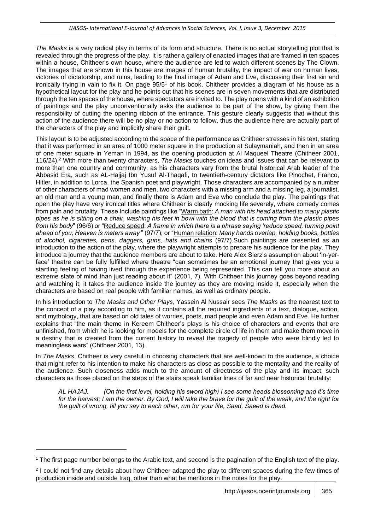*The Masks* is a very radical play in terms of its form and structure. There is no actual storytelling plot that is revealed through the progress of the play. It is rather a gallery of enacted images that are framed in ten spaces within a house, Chitheer's own house, where the audience are led to watch different scenes by The Clown. The images that are shown in this house are images of human brutality, the impact of war on human lives, victories of dictatorship, and ruins, leading to the final image of Adam and Eve, discussing their first sin and ironically trying in vain to fix it. On page  $95/5<sup>1</sup>$  of his book, Chitheer provides a diagram of his house as a hypothetical layout for the play and he points out that his scenes are in seven movements that are distributed through the ten spaces of the house, where spectators are invited to. The play opens with a kind of an exhibition of paintings and the play unconventionally asks the audience to be part of the show, by giving them the responsibility of cutting the opening ribbon of the entrance. This gesture clearly suggests that without this action of the audience there will be no play or no action to follow, thus the audience here are actually part of the characters of the play and implicitly share their guilt.

This layout is to be adjusted according to the space of the performance as Chitheer stresses in his text, stating that it was performed in an area of 1000 meter square in the production at Sulaymaniah, and then in an area of one meter square in Yeman in 1994, as the opening production at Al Maqueel Theatre (Chitheer 2001, 116/24).<sup>2</sup> With more than twenty characters, *The Masks* touches on ideas and issues that can be relevant to more than one country and community, as his characters vary from the brutal historical Arab leader of the Abbasid Era, such as AL-Hajjaj Ibn Yusuf Al-Thaqafi, to twentieth-century dictators like Pinochet, Franco, Hitler, in addition to Lorca, the Spanish poet and playwright. Those characters are accompanied by a number of other characters of mad women and men, two characters with a missing arm and a missing leg, a journalist, an old man and a young man, and finally there is Adam and Eve who conclude the play. The paintings that open the play have very ironical titles where Chitheer is clearly mocking life severely, where comedy comes from pain and brutality. These Include paintings like "Warm bath: *A man with his head attached to many plastic pipes as he is sitting on a chair, washing his feet in bowl with the blood that is coming from the plastic pipes from his body*" (96/6) or "Reduce speed: *A frame in which there is a phrase saying 'reduce speed, turning point ahead of you; Heaven is meters away'*" (97/7); or "Human relation: *Many hands overlap, holding books, bottles of alcohol, cigarettes, pens, daggers, guns, hats and chains* (97/7).Such paintings are presented as an introduction to the action of the play, where the playwright attempts to prepare his audience for the play. They introduce a journey that the audience members are about to take. Here Alex Sierz's assumption about 'in-yerface' theatre can be fully fulfilled where theatre "can sometimes be an emotional journey that gives you a startling feeling of having lived through the experience being represented. This can tell you more about an extreme state of mind than just reading about it" (2001, 7). With Chitheer this journey goes beyond reading and watching it; it takes the audience inside the journey as they are moving inside it, especially when the characters are based on real people with familiar names, as well as ordinary people.

In his introduction to *The Masks and Other Plays*, Yassein Al Nussair sees *The Masks* as the nearest text to the concept of a play according to him, as it contains all the required ingredients of a text, dialogue, action, and mythology, that are based on old tales of worries, poets, mad people and even Adam and Eve. He further explains that "the main theme in Kereem Chitheer's plays is his choice of characters and events that are unfinished, from which he is looking for models for the complete circle of life in them and make them move in a destiny that is created from the current history to reveal the tragedy of people who were blindly led to meaningless wars" (Chitheer 2001, 13).

In *The Masks*, Chitheer is very careful in choosing characters that are well-known to the audience, a choice that might refer to his intention to make his characters as close as possible to the mentality and the reality of the audience. Such closeness adds much to the amount of directness of the play and its impact; such characters as those placed on the steps of the stairs speak familiar lines of far and near historical brutality:

*AL HAJAJ. (On the first level, holding his sword high) I see some heads blossoming and it's time for the harvest; I am the owner. By God, I will take the brave for the guilt of the weak; and the right for the guilt of wrong, till you say to each other, run for your life, Saad, Saeed is dead.*

l

<sup>&</sup>lt;sup>1</sup> The first page number belongs to the Arabic text, and second is the pagination of the English text of the play.

<sup>&</sup>lt;sup>2</sup> I could not find any details about how Chitheer adapted the play to different spaces during the few times of production inside and outside Iraq, other than what he mentions in the notes for the play.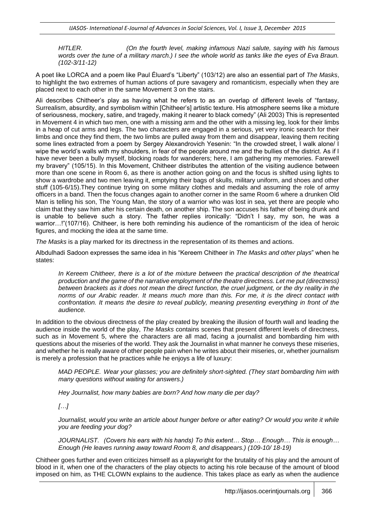*HITLER. (On the fourth level, making infamous Nazi salute, saying with his famous words over the tune of a military march.) I see the whole world as tanks like the eyes of Eva Braun. (102-3/11-12)*

A poet like LORCA and a poem like Paul Éluard's "Liberty" (103/12) are also an essential part of *The Masks*, to highlight the two extremes of human actions of pure savagery and romanticism, especially when they are placed next to each other in the same Movement 3 on the stairs.

Ali describes Chitheer's play as having what he refers to as an overlap of different levels of "fantasy, Surrealism, absurdity, and symbolism within [Chitheer's] artistic texture. His atmosphere seems like a mixture of seriousness, mockery, satire, and tragedy, making it nearer to black comedy" (Ali 2003) This is represented in Movement 4 in which two men, one with a missing arm and the other with a missing leg, look for their limbs in a heap of cut arms and legs. The two characters are engaged in a serious, yet very ironic search for their limbs and once they find them, the two limbs are pulled away from them and disappear, leaving them reciting some lines extracted from a poem by Sergey Alexandrovich Yesenin: "In the crowded street, I walk alone/ I wipe the world's walls with my shoulders, in fear of the people around me and the bullies of the district. As if I have never been a bully myself, blocking roads for wanderers; here, I am gathering my memories. Farewell my bravery" (105/15). In this Movement, Chitheer distributes the attention of the visiting audience between more than one scene in Room 6, as there is another action going on and the focus is shifted using lights to show a wardrobe and two men leaving it, emptying their bags of skulls, military uniform, and shoes and other stuff (105-6/15).They continue trying on some military clothes and medals and assuming the role of army officers in a band. Then the focus changes again to another corner in the same Room 6 where a drunken Old Man is telling his son, The Young Man, the story of a warrior who was lost in sea, yet there are people who claim that they saw him after his certain death, on another ship. The son accuses his father of being drunk and is unable to believe such a story. The father replies ironically: "Didn't I say, my son, he was a warrior...!"(107/16). Chitheer, is here both reminding his audience of the romanticism of the idea of heroic figures, and mocking the idea at the same time.

*The Masks* is a play marked for its directness in the representation of its themes and actions.

Albdulhadi Sadoon expresses the same idea in his "Kereem Chitheer in *The Masks and other plays*" when he states:

*In Kereem Chitheer, there is a lot of the mixture between the practical description of the theatrical production and the game of the narrative employment of the theatre directness. Let me put (directness)*  between brackets as it does not mean the direct function, the cruel judgment, or the dry reality in the *norms of our Arabic reader. It means much more than this. For me, it is the direct contact with confrontation. It means the desire to reveal publicly, meaning presenting everything in front of the audience.* 

In addition to the obvious directness of the play created by breaking the illusion of fourth wall and leading the audience inside the world of the play, *The Masks* contains scenes that present different levels of directness, such as in Movement 5, where the characters are all mad, facing a journalist and bombarding him with questions about the miseries of the world. They ask the Journalist in what manner he conveys these miseries, and whether he is really aware of other people pain when he writes about their miseries, or, whether journalism is merely a profession that he practices while he enjoys a life of luxury:

*MAD PEOPLE. Wear your glasses; you are definitely short-sighted. (They start bombarding him with many questions without waiting for answers.)*

*Hey Journalist, how many babies are born? And how many die per day?* 

*[…]*

Journalist, would you write an article about hunger before or after eating? Or would you write it while *you are feeding your dog?* 

*JOURNALIST. (Covers his ears with his hands) To this extent… Stop… Enough… This is enough… Enough (He leaves running away toward Room 8, and disappears.) (109-10/ 18-19)*

Chitheer goes further and even criticizes himself as a playwright for the brutality of his play and the amount of blood in it, when one of the characters of the play objects to acting his role because of the amount of blood imposed on him, as THE CLOWN explains to the audience. This takes place as early as when the audience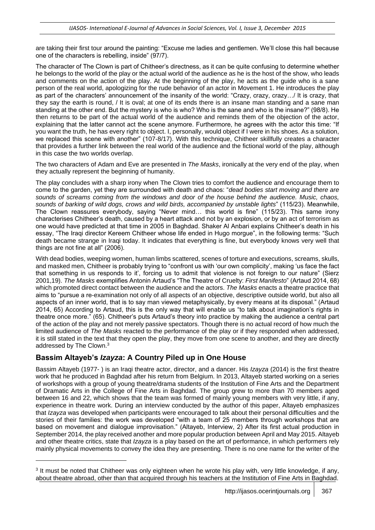are taking their first tour around the painting: "Excuse me ladies and gentlemen. We'll close this hall because one of the characters is rebelling, inside" (97/7).

The character of The Clown is part of Chitheer's directness, as it can be quite confusing to determine whether he belongs to the world of the play or the actual world of the audience as he is the host of the show, who leads and comments on the action of the play. At the beginning of the play, he acts as the guide who is a sane person of the real world, apologizing for the rude behavior of an actor in Movement 1. He introduces the play as part of the characters' announcement of the insanity of the world: "Crazy, crazy, crazy…/ It is crazy, that they say the earth is round, / It is oval; at one of its ends there is an insane man standing and a sane man standing at the other end. But the mystery is who is who? Who is the sane and who is the insane?" (98/8). He then returns to be part of the actual world of the audience and reminds them of the objection of the actor, explaining that the latter cannot act the scene anymore. Furthermore, he agrees with the actor this time: "If you want the truth, he has every right to object. I, personally, would object if I were in his shoes. As a solution, we replaced this scene with another" (107-8/17). With this technique, Chitheer skillfully creates a character that provides a further link between the real world of the audience and the fictional world of the play, although in this case the two worlds overlap.

The two characters of Adam and Eve are presented in *The Masks*, ironically at the very end of the play, when they actually represent the beginning of humanity.

The play concludes with a sharp irony when The Clown tries to comfort the audience and encourage them to come to the garden, yet they are surrounded with death and chaos: "*dead bodies start moving and there are sounds of screams coming from the windows and door of the house behind the audience. Music, chaos, sounds of barking of wild dogs, crows and wild birds, accompanied by unstable lights*" (115/23). Meanwhile, The Clown reassures everybody, saying "Never mind… this world is fine" (115/23). This same irony characterises Chitheer's death, caused by a heart attack and not by an explosion, or by an act of terrorism as one would have predicted at that time in 2005 in Baghdad. Shaker Al Anbari explains Chitheer's death in his essay, "The Iraqi director Kereem Chitheer whose life ended in Hugo morgue", in the following terms: "Such death became strange in Iraqi today. It indicates that everything is fine, but everybody knows very well that things are not fine at all" (2006).

With dead bodies, weeping women, human limbs scattered, scenes of torture and executions, screams, skulls, and masked men, Chitheer is probably trying to "confront us with 'our own complicity', making 'us face the fact that something in us responds to it', forcing us to admit that violence is not foreign to our nature" (Sierz 2001,19). *The Masks* exemplifies Antonin Artaud's "The Theatre of Cruelty: *First Manifesto*" (Artaud 2014, 68) which promoted direct contact between the audience and the actors. *The Masks* enacts a theatre practice that aims to "pursue a re-examination not only of all aspects of an objective, descriptive outside world, but also all aspects of an inner world, that is to say man viewed metaphysically, by every means at its disposal." (Artaud 2014, 65) According to Artaud, this is the only way that will enable us "to talk about imagination's rights in theatre once more." (65). Chitheer's puts Artaud's theory into practice by making the audience a central part of the action of the play and not merely passive spectators. Though there is no actual record of how much the limited audience of *The Masks* reacted to the performance of the play or if they responded when addressed, it is still stated in the text that they open the play, they move from one scene to another, and they are directly addressed by The Clown.<sup>3</sup>

#### **Bassim Altayeb's** *Izayza***: A Country Piled up in One House**

l

Bassim Altayeb (1977- ) is an Iraqi theatre actor, director, and a dancer. His *Izayza* (2014) is the first theatre work that he produced in Baghdad after his return from Belgium. In 2013, Altayeb started working on a series of workshops with a group of young theatre/drama students of the Institution of Fine Arts and the Department of Dramatic Arts in the College of Fine Arts in Baghdad. The group grew to more than 70 members aged between 16 and 22, which shows that the team was formed of mainly young members with very little, if any, experience in theatre work. During an interview conducted by the author of this paper, Altayeb emphasizes that *Izayza* was developed when participants were encouraged to talk about their personal difficulties and the stories of their families: the work was developed "with a team of 25 members through workshops that are based on movement and dialogue improvisation." (Altayeb, Interview, 2) After its first actual production in September 2014, the play received another and more popular production between April and May 2015. Altayeb and other theatre critics, state that *Izayza* is a play based on the art of performance, in which performers rely mainly physical movements to convey the idea they are presenting. There is no one name for the writer of the

<sup>&</sup>lt;sup>3</sup> It must be noted that Chitheer was only eighteen when he wrote his play with, very little knowledge, if any, about theatre abroad, other than that acquired through his teachers at the Institution of Fine Arts in Baghdad.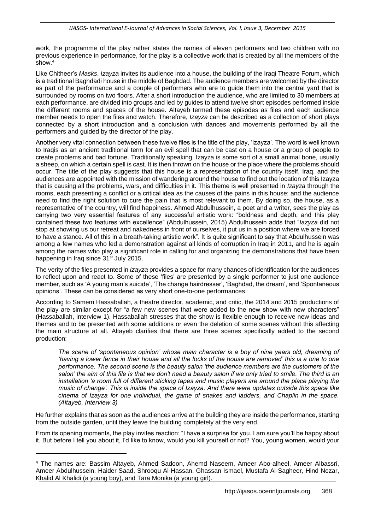work, the programme of the play rather states the names of eleven performers and two children with no previous experience in performance, for the play is a collective work that is created by all the members of the show.<sup>4</sup>

Like Chitheer's *Masks*, *Izayza* invites its audience into a house, the building of the Iraqi Theatre Forum, which is a traditional Baghdadi house in the middle of Baghdad. The audience members are welcomed by the director as part of the performance and a couple of performers who are to guide them into the central yard that is surrounded by rooms on two floors. After a short introduction the audience, who are limited to 30 members at each performance, are divided into groups and led by guides to attend twelve short episodes performed inside the different rooms and spaces of the house. Altayeb termed these episodes as files and each audience member needs to open the files and watch. Therefore, *Izayza* can be described as a collection of short plays connected by a short introduction and a conclusion with dances and movements performed by all the performers and guided by the director of the play.

Another very vital connection between these twelve files is the title of the play, 'Izayza'. The word is well known to Iraqis as an ancient traditional term for an evil spell that can be cast on a house or a group of people to create problems and bad fortune. Traditionally speaking, Izayza is some sort of a small animal bone, usually a sheep, on which a certain spell is cast. It is then thrown on the house or the place where the problems should occur. The title of the play suggests that this house is a representation of the country itself, Iraq, and the audiences are appointed with the mission of wandering around the house to find out the location of this Izayza that is causing all the problems, wars, and difficulties in it. This theme is well presented in *Izayza* through the rooms, each presenting a conflict or a critical idea as the causes of the pains in this house; and the audience need to find the right solution to cure the pain that is most relevant to them. By doing so, the house, as a representative of the country, will find happiness. Ahmed Abdulhussein, a poet and a writer, sees the play as carrying two very essential features of any successful artistic work: "boldness and depth, and this play contained these two features with excellence" (Abdulhussein, 2015) Abdulhussein adds that "*Iazyza* did not stop at showing us our retreat and nakedness in front of ourselves, it put us in a position where we are forced to have a stance. All of this in a breath-taking artistic work". It is quite significant to say that Abdulhussein was among a few names who led a demonstration against all kinds of corruption in Iraq in 2011, and he is again among the names who play a significant role in calling for and organizing the demonstrations that have been happening in Iraq since 31<sup>st</sup> July 2015.

The verity of the files presented in *Izayza* provides a space for many chances of identification for the audiences to reflect upon and react to. Some of these 'files' are presented by a single performer to just one audience member, such as 'A young man's suicide', 'The change hairdresser', 'Baghdad, the dream', and 'Spontaneous opinions'. These can be considered as very short one-to-one performances.

According to Samem Hassaballah, a theatre director, academic, and critic, the 2014 and 2015 productions of the play are similar except for "a few new scenes that were added to the new show with new characters" (Hassaballah, interview 1). Hassaballah stresses that the show is flexible enough to receive new ideas and themes and to be presented with some additions or even the deletion of some scenes without this affecting the main structure at all. Altayeb clarifies that there are three scenes specifically added to the second production:

*The scene of 'spontaneous opinion' whose main character is a boy of nine years old, dreaming of 'having a lower fence in their house and all the locks of the house are removed' this is a one to one performance. The second scene is the beauty salon 'the audience members are the customers of the salon' the aim of this file is that we don't need a beauty salon if we only tried to smile. The third is an installation 'a room full of different sticking tapes and music players are around the place playing the music of change'. This is inside the space of Izayza. And there were updates outside this space like cinema of Izayza for one individual, the game of snakes and ladders, and Chaplin in the space. (Altayeb, Interview 3)* 

He further explains that as soon as the audiences arrive at the building they are inside the performance, starting from the outside garden, until they leave the building completely at the very end.

From its opening moments, the play invites reaction: "I have a surprise for you. I am sure you'll be happy about it. But before I tell you about it, I'd like to know, would you kill yourself or not? You, young women, would your

l

<sup>4</sup> The names are: Bassim Altayeb, Ahmed Sadoon, Ahemd Naseem, Ameer Abo-alheel, Ameer Albassri, Ameer Abdulhussein, Haider Saad, Shrooqu Al-Hassan, Ghassan Ismael, Mustafa Al-Sagheer, Hind Nezar, Khalid Al Khalidi (a young boy), and Tara Monika (a young girl).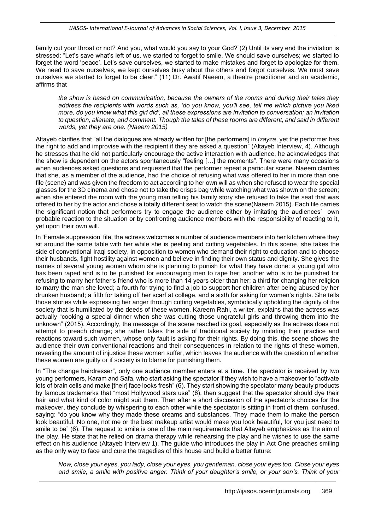family cut your throat or not? And you, what would you say to your God?"(2) Until its very end the invitation is stressed: "Let's save what's left of us, we started to forget to smile. We should save ourselves; we started to forget the word 'peace'. Let's save ourselves, we started to make mistakes and forget to apologize for them. We need to save ourselves, we kept ourselves busy about the others and forgot ourselves. We must save ourselves we started to forget to be clear." (11) Dr. Awatif Naeem, a theatre practitioner and an academic, affirms that

*the show is based on communication, because the owners of the rooms and during their tales they address the recipients with words such as, 'do you know, you'll see, tell me which picture you liked more, do you know what this girl did', all these expressions are invitation to conversation; an invitation to question, alienate, and comment. Though the tales of these rooms are different, and said in different words, yet they are one. (Naeem 2015)* 

Altayeb clarifies that "all the dialogues are already written for [the performers] in *Izayza*, yet the performer has the right to add and improvise with the recipient if they are asked a question" (Altayeb Interview, 4). Although he stresses that he did not particularly encourage the active interaction with audience, he acknowledges that the show is dependent on the actors spontaneously "feeling […] the moments". There were many occasions when audiences asked questions and requested that the performer repeat a particular scene. Naeem clarifies that she, as a member of the audience, had the choice of refusing what was offered to her in more than one file (scene) and was given the freedom to act according to her own will as when she refused to wear the special glasses for the 3D cinema and chose not to take the crisps bag while watching what was shown on the screen; when she entered the room with the young man telling his family story she refused to take the seat that was offered to her by the actor and chose a totally different seat to watch the scene(Naeem 2015). Each file carries the significant notion that performers try to engage the audience either by imitating the audiences' own probable reaction to the situation or by confronting audience members with the responsibility of reacting to it, yet upon their own will.

In 'Female suppression' file, the actress welcomes a number of audience members into her kitchen where they sit around the same table with her while she is peeling and cutting vegetables. In this scene, she takes the side of conventional Iraqi society, in opposition to women who demand their right to education and to choose their husbands, fight hostility against women and believe in finding their own status and dignity. She gives the names of several young women whom she is planning to punish for what they have done: a young girl who has been raped and is to be punished for encouraging men to rape her; another who is to be punished for refusing to marry her father's friend who is more than 14 years older than her; a third for changing her religion to marry the man she loved; a fourth for trying to find a job to support her children after being abused by her drunken husband; a fifth for taking off her scarf at college, and a sixth for asking for women's rights. She tells those stories while expressing her anger through cutting vegetables, symbolically upholding the dignity of the society that is humiliated by the deeds of these women. Kareem Rahi, a writer, explains that the actress was actually "cooking a special dinner when she was cutting those ungrateful girls and throwing them into the unknown" (2015). Accordingly, the message of the scene reached its goal, especially as the actress does not attempt to preach change; she rather takes the side of traditional society by imitating their practice and reactions toward such women, whose only fault is asking for their rights. By doing this, the scene shows the audience their own conventional reactions and their consequences in relation to the rights of these women, revealing the amount of injustice these women suffer, which leaves the audience with the question of whether these women are guilty or if society is to blame for punishing them.

In "The change hairdresser", only one audience member enters at a time. The spectator is received by two young performers, Karam and Safa, who start asking the spectator if they wish to have a makeover to "activate lots of brain cells and make [their] face looks fresh" (6). They start showing the spectator many beauty products by famous trademarks that "most Hollywood stars use" (6), then suggest that the spectator should dye their hair and what kind of color might suit them. Then after a short discussion of the spectator's choices for the makeover, they conclude by whispering to each other while the spectator is sitting in front of them, confused, saying: "do you know why they made these creams and substances. They made them to make the person look beautiful. No one, not me or the best makeup artist would make you look beautiful, for you just need to smile to be" (6). The request to smile is one of the main requirements that Altayeb emphasizes as the aim of the play. He state that he relied on drama therapy while rehearsing the play and he wishes to use the same effect on his audience (Altayeb Interview 1). The guide who introduces the play in Act One preaches smiling as the only way to face and cure the tragedies of this house and build a better future:

*Now, close your eyes, you lady, close your eyes, you gentleman, close your eyes too. Close your eyes and smile, a smile with positive anger. Think of your daughter's smile, or your son's. Think of your*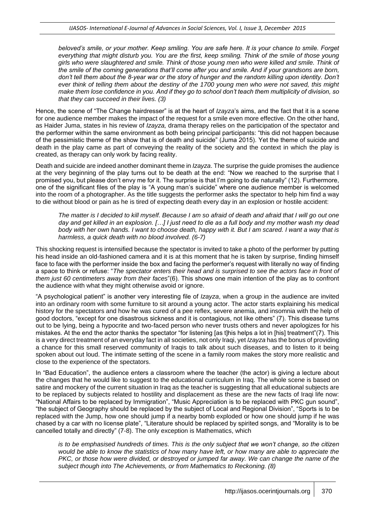*beloved's smile, or your mother. Keep smiling. You are safe here. It is your chance to smile. Forget everything that might disturb you. You are the first, keep smiling. Think of the smile of those young girls who were slaughtered and smile. Think of those young men who were killed and smile. Think of the smile of the coming generations that'll come after you and smile. And if your grandsons are born, don't tell them about the 8-year war or the story of hunger and the random killing upon identity. Don't ever think of telling them about the destiny of the 1700 young men who were not saved, this might make them lose confidence in you. And if they go to school don't teach them multiplicity of division, so that they can succeed in their lives. (3)* 

Hence, the scene of "The Change hairdresser" is at the heart of *Izayza*'s aims, and the fact that it is a scene for one audience member makes the impact of the request for a smile even more effective. On the other hand, as Haider Juma, states in his review of *Izayza,* drama therapy relies on the participation of the spectator and the performer within the same environment as both being principal participants: "this did not happen because of the pessimistic theme of the show that is of death and suicide" (Juma 2015). Yet the theme of suicide and death in the play came as part of conveying the reality of the society and the context in which the play is created, as therapy can only work by facing reality.

Death and suicide are indeed another dominant theme in *Izayza*. The surprise the guide promises the audience at the very beginning of the play turns out to be death at the end: "Now we reached to the surprise that I promised you, but please don't envy me for it. The surprise is that I'm going to die naturally" (12). Furthermore, one of the significant files of the play is "A young man's suicide" where one audience member is welcomed into the room of a photographer. As the title suggests the performer asks the spectator to help him find a way to die without blood or pain as he is tired of expecting death every day in an explosion or hostile accident:

*The matter is I decided to kill myself. Because I am so afraid of death and afraid that I will go out one day and get killed in an explosion. […] I just need to die as a full body and my mother wash my dead body with her own hands. I want to choose death, happy with it. But I am scared. I want a way that is harmless, a quick death with no blood involved. (6-7)*

This shocking request is intensified because the spectator is invited to take a photo of the performer by putting his head inside an old-fashioned camera and it is at this moment that he is taken by surprise, finding himself face to face with the performer inside the box and facing the performer's request with literally no way of finding a space to think or refuse: "*The spectator enters their head and is surprised to see the actors face in front of them just 60 centimeters away from their faces*"(6). This shows one main intention of the play as to confront the audience with what they might otherwise avoid or ignore.

"A psychological patient" is another very interesting file of *Izayza*, when a group in the audience are invited into an ordinary room with some furniture to sit around a young actor. The actor starts explaining his medical history for the spectators and how he was cured of a pee reflex, severe anemia, and insomnia with the help of good doctors, "except for one disastrous sickness and it is contagious, not like others" (7). This disease turns out to be lying, being a hypocrite and two-faced person who never trusts others and never apologizes for his mistakes. At the end the actor thanks the spectator "for listening [as t]his helps a lot in [his] treatment"(7). This is a very direct treatment of an everyday fact in all societies, not only Iraqi, yet *Izayza* has the bonus of providing a chance for this small reserved community of Iraqis to talk about such diseases, and to listen to it being spoken about out loud. The intimate setting of the scene in a family room makes the story more realistic and close to the experience of the spectators.

In "Bad Education", the audience enters a classroom where the teacher (the actor) is giving a lecture about the changes that he would like to suggest to the educational curriculum in Iraq. The whole scene is based on satire and mockery of the current situation in Iraq as the teacher is suggesting that all educational subjects are to be replaced by subjects related to hostility and displacement as these are the new facts of Iraqi life now: "National Affairs to be replaced by Immigration", "Music Appreciation is to be replaced with PKC gun sound", "the subject of Geography should be replaced by the subject of Local and Regional Division", "Sports is to be replaced with the Jump, how one should jump if a nearby bomb exploded or how one should jump if he was chased by a car with no license plate", "Literature should be replaced by spirited songs, and "Morality is to be cancelled totally and directly" (7-8). The only exception is Mathematics, which

*is to be emphasised hundreds of times. This is the only subject that we won't change, so the citizen would be able to know the statistics of how many have left, or how many are able to appreciate the PKC, or those how were divided, or destroyed or jumped far away. We can change the name of the subject though into The Achievements, or from Mathematics to Reckoning. (8)*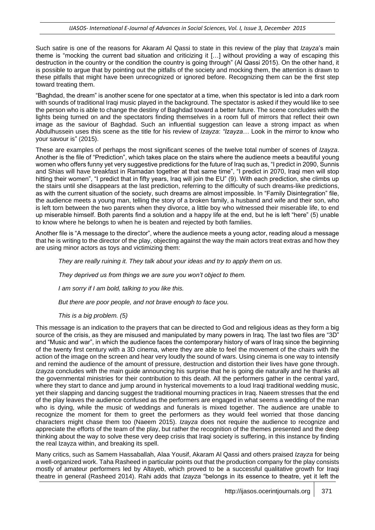Such satire is one of the reasons for Akaram Al Qassi to state in this review of the play that *Izayza*'s main theme is "mocking the current bad situation and criticizing it […] without providing a way of escaping this destruction in the country or the condition the country is going through" (Al Qassi 2015). On the other hand, it is possible to argue that by pointing out the pitfalls of the society and mocking them, the attention is drawn to these pitfalls that might have been unrecognized or ignored before. Recognizing them can be the first step toward treating them.

"Baghdad, the dream" is another scene for one spectator at a time, when this spectator is led into a dark room with sounds of traditional Iraqi music played in the background. The spectator is asked if they would like to see the person who is able to change the destiny of Baghdad toward a better future. The scene concludes with the lights being turned on and the spectators finding themselves in a room full of mirrors that reflect their own image as the saviour of Baghdad. Such an influential suggestion can leave a strong impact as when Abdulhussein uses this scene as the title for his review of *Izayza*: *"Izayza*… Look in the mirror to know who your savour is" (2015).

These are examples of perhaps the most significant scenes of the twelve total number of scenes of *Izayza*. Another is the file of "Prediction", which takes place on the stairs where the audience meets a beautiful young women who offers funny yet very suggestive predictions for the future of Iraq such as, "I predict in 2090, Sunnis and Shias will have breakfast in Ramadan together at that same time", "I predict in 2070, Iraqi men will stop hitting their women", "I predict that in fifty years, Iraq will join the EU" (9). With each prediction, she climbs up the stairs until she disappears at the last prediction, referring to the difficulty of such dreams-like predictions, as with the current situation of the society, such dreams are almost impossible. In "Family Disintegration" file, the audience meets a young man, telling the story of a broken family, a husband and wife and their son, who is left torn between the two parents when they divorce, a little boy who witnessed their miserable life, to end up miserable himself. Both parents find a solution and a happy life at the end, but he is left "here" (5) unable to know where he belongs to when he is beaten and rejected by both families.

Another file is "A message to the director", where the audience meets a young actor, reading aloud a message that he is writing to the director of the play, objecting against the way the main actors treat extras and how they are using minor actors as toys and victimizing them:

*They are really ruining it. They talk about your ideas and try to apply them on us.*

*They deprived us from things we are sure you won't object to them.*

*I am sorry if I am bold, talking to you like this.* 

*But there are poor people, and not brave enough to face you.* 

*This is a big problem. (5)*

This message is an indication to the prayers that can be directed to God and religious ideas as they form a big source of the crisis, as they are misused and manipulated by many powers in Iraq. The last two files are "3D" and "Music and war", in which the audience faces the contemporary history of wars of Iraq since the beginning of the twenty first century with a 3D cinema, where they are able to feel the movement of the chairs with the action of the image on the screen and hear very loudly the sound of wars. Using cinema is one way to intensify and remind the audience of the amount of pressure, destruction and distortion their lives have gone through. *Izayza* concludes with the main guide announcing his surprise that he is going die naturally and he thanks all the governmental ministries for their contribution to this death. All the performers gather in the central yard, where they start to dance and jump around in hysterical movements to a loud Iraqi traditional wedding music, yet their slapping and dancing suggest the traditional mourning practices in Iraq. Naeem stresses that the end of the play leaves the audience confused as the performers are engaged in what seems a wedding of the man who is dying, while the music of weddings and funerals is mixed together. The audience are unable to recognize the moment for them to greet the performers as they would feel worried that those dancing characters might chase them too (Naeem 2015). *Izayza* does not require the audience to recognize and appreciate the efforts of the team of the play, but rather the recognition of the themes presented and the deep thinking about the way to solve these very deep crisis that Iraqi society is suffering, in this instance by finding the real Izayza within, and breaking its spell.

Many critics, such as Samem Hassaballah, Alaa Yousif, Akaram Al Qassi and others praised *Izayza* for being a well-organized work. Taha Rasheed in particular points out that the production company for the play consists mostly of amateur performers led by Altayeb, which proved to be a successful qualitative growth for Iraqi theatre in general (Rasheed 2014). Rahi adds that *Izayza* "belongs in its essence to theatre, yet it left the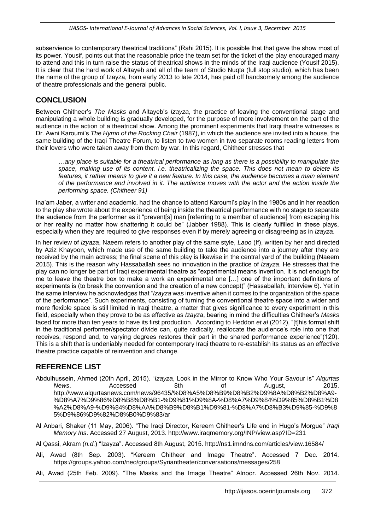subservience to contemporary theatrical traditions" (Rahi 2015). It is possible that that gave the show most of its power. Yousif, points out that the reasonable price the team set for the ticket of the play encouraged many to attend and this in turn raise the status of theatrical shows in the minds of the Iraqi audience (Yousif 2015). It is clear that the hard work of Altayeb and all of the team of Studio Nuqta (full stop studio), which has been the name of the group of Izayza, from early 2013 to late 2014, has paid off handsomely among the audience of theatre professionals and the general public.

#### **CONCLUSION**

Between Chitheer's *The Masks* and Altayeb's *Izayza*, the practice of leaving the conventional stage and manipulating a whole building is gradually developed, for the purpose of more involvement on the part of the audience in the action of a theatrical show. Among the prominent experiments that Iraqi theatre witnesses is Dr. Awni Karoumi's *The Hymn of the Rocking Chair* (1987), in which the audience are invited into a house, the same building of the Iraqi Theatre Forum, to listen to two women in two separate rooms reading letters from their lovers who were taken away from them by war. In this regard, Chitheer stresses that

*…any place is suitable for a theatrical performance as long as there is a possibility to manipulate the space, making use of its content, i.e. theatricalizing the space. This does not mean to delete its features, it rather means to give it a new feature. In this case, the audience becomes a main element of the performance and involved in it. The audience moves with the actor and the action inside the performing space. (Chitheer 91)* 

Ina'am Jaber, a writer and academic, had the chance to attend Karoumi's play in the 1980s and in her reaction to the play she wrote about the experience of being inside the theatrical performance with no stage to separate the audience from the performer as it "prevent[s] man [referring to a member of audience] from escaping his or her reality no matter how shattering it could be" (Jabber 1988). This is clearly fulfilled in these plays, especially when they are required to give responses even if by merely agreeing or disagreeing as in *Izayza*.

In her review of *Izyaza*, Naeem refers to another play of the same style, *Laoo* (If), written by her and directed by Aziz Khayoon, which made use of the same building to take the audience into a journey after they are received by the main actress; the final scene of this play is likewise in the central yard of the building (Naeem 2015). This is the reason why Hassaballah sees no innovation in the practice of *Izayza*. He stresses that the play can no longer be part of Iraqi experimental theatre as "experimental means invention. It is not enough for me to leave the theatre box to make a work an experimental one […] one of the important definitions of experiments is (to break the convention and the creation of a new concept)" (Hassaballah, interview 6). Yet in the same interview he acknowledges that "*Izayza* was inventive when it comes to the organization of the space of the performance". Such experiments, consisting of turning the conventional theatre space into a wider and more flexible space is still limited in Iraqi theatre, a matter that gives significance to every experiment in this field, especially when they prove to be as effective as *Izayza*, bearing in mind the difficulties Chitheer's *Masks* faced for more than ten years to have its first production. According to Heddon *et al* (2012), "[t]his formal shift in the traditional performer/spectator divide can, quite radically, reallocate the audience's role into one that receives, respond and, to varying degrees restores their part in the shared performance experience"(120). This is a shift that is undeniably needed for contemporary Iraqi theatre to re-establish its status as an effective theatre practice capable of reinvention and change.

### **REFERENCE LIST**

- Abdulhussein, Ahmed (20th April, 2015). "*Izayza*, Look in the Mirror to Know Who Your Savour is" *Alqurtas News*. Accessed 8th of August, 2015. http://www.alqurtasnews.com/news/96435/%D8%A5%D8%B9%D8%B2%D9%8A%D8%B2%D8%A9- %D8%A7%D9%86%D8%B8%D8%B1-%D9%81%D9%8A-%D8%A7%D9%84%D9%85%D8%B1%D8 %A2%D8%A9-%D9%84%D8%AA%D8%B9%D8%B1%D9%81-%D8%A7%D8%B3%D9%85-%D9%8 5%D9%86%D9%82%D8%B0%D9%83/ar
- Al Anbari, Shaker (11 May, 2006). "The Iraqi Director, Kereem Chitheer's Life end in Hugo's Morgue" *Iraqi Memory Ins*. Accessed 27 August, 2013. http://www.iraqmemory.org/INP/view.asp?ID=231

Al Qassi, Akram (*n.d.*) "Izayza". Accessed 8th August, 2015.<http://ns1.imndns.com/articles/view.16584/>

- Ali, Awad (8th Sep. 2003). "Kereem Chitheer and Image Theatre". Accessed 7 Dec. 2014. <https://groups.yahoo.com/neo/groups/Syriantheater/conversations/messages/258>
- Ali, Awad (25th Feb. 2009). "The Masks and the Image Theatre" Alnoor. Accessed 26th Nov. 2014.